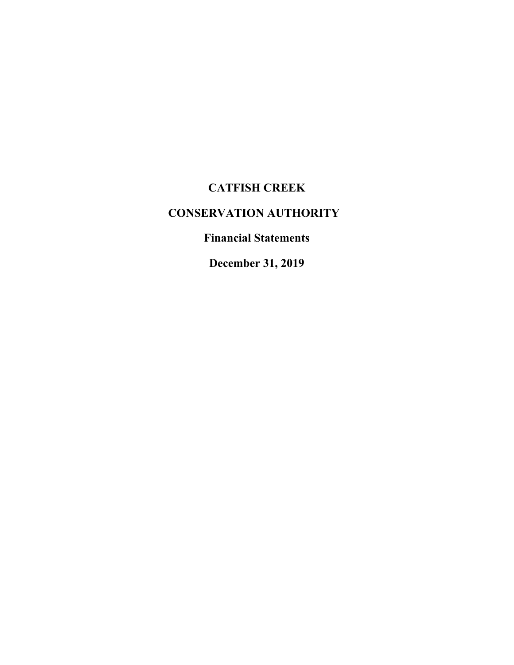# **CATFISH CREEK**

# **CONSERVATION AUTHORITY**

**Financial Statements**

**December 31, 2019**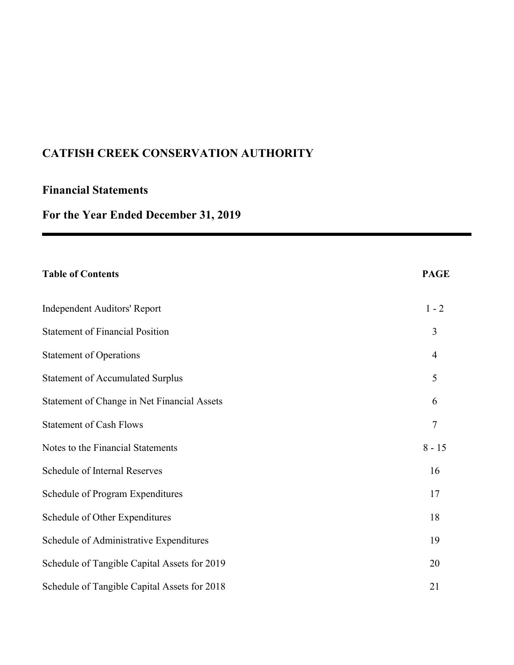# **Financial Statements**

# **For the Year Ended December 31, 2019**

| <b>Table of Contents</b>                     | <b>PAGE</b>    |
|----------------------------------------------|----------------|
| Independent Auditors' Report                 | $1 - 2$        |
| <b>Statement of Financial Position</b>       | 3              |
| <b>Statement of Operations</b>               | $\overline{4}$ |
| <b>Statement of Accumulated Surplus</b>      | 5              |
| Statement of Change in Net Financial Assets  | 6              |
| <b>Statement of Cash Flows</b>               | $\overline{7}$ |
| Notes to the Financial Statements            | $8 - 15$       |
| Schedule of Internal Reserves                | 16             |
| Schedule of Program Expenditures             | 17             |
| Schedule of Other Expenditures               | 18             |
| Schedule of Administrative Expenditures      | 19             |
| Schedule of Tangible Capital Assets for 2019 | 20             |
| Schedule of Tangible Capital Assets for 2018 | 21             |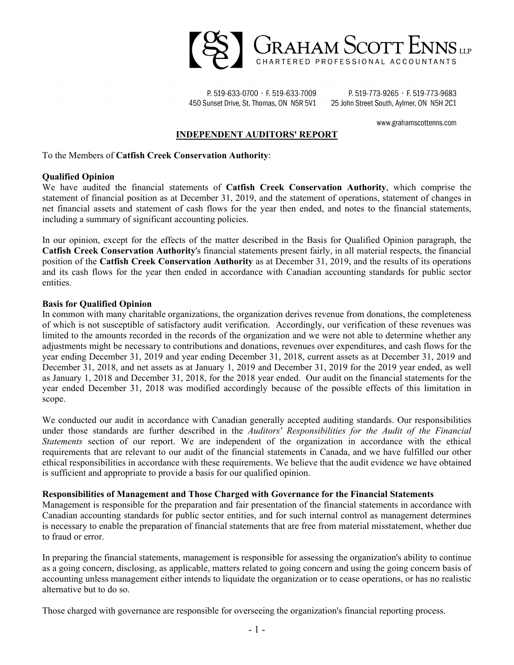

P. 519-633-0700 · F. 519-633-7009 450 Sunset Drive, St. Thomas, ON N5R 5V1

P. 519-773-9265 · F. 519-773-9683 25 John Street South, Aylmer, ON N5H 2C1

www.grahamscottenns.com

#### **INDEPENDENT AUDITORS' REPORT**

To the Members of **Catfish Creek Conservation Authority**:

#### **Qualified Opinion**

We have audited the financial statements of **Catfish Creek Conservation Authority**, which comprise the statement of financial position as at December 31, 2019, and the statement of operations, statement of changes in net financial assets and statement of cash flows for the year then ended, and notes to the financial statements, including a summary of significant accounting policies.

In our opinion, except for the effects of the matter described in the Basis for Qualified Opinion paragraph, the **Catfish Creek Conservation Authority**'s financial statements present fairly, in all material respects, the financial position of the **Catfish Creek Conservation Authority** as at December 31, 2019, and the results of its operations and its cash flows for the year then ended in accordance with Canadian accounting standards for public sector entities.

#### **Basis for Qualified Opinion**

In common with many charitable organizations, the organization derives revenue from donations, the completeness of which is not susceptible of satisfactory audit verification. Accordingly, our verification of these revenues was limited to the amounts recorded in the records of the organization and we were not able to determine whether any adjustments might be necessary to contributions and donations, revenues over expenditures, and cash flows for the year ending December 31, 2019 and year ending December 31, 2018, current assets as at December 31, 2019 and December 31, 2018, and net assets as at January 1, 2019 and December 31, 2019 for the 2019 year ended, as well as January 1, 2018 and December 31, 2018, for the 2018 year ended. Our audit on the financial statements for the year ended December 31, 2018 was modified accordingly because of the possible effects of this limitation in scope.

We conducted our audit in accordance with Canadian generally accepted auditing standards. Our responsibilities under those standards are further described in the *Auditors' Responsibilities for the Audit of the Financial Statements* section of our report. We are independent of the organization in accordance with the ethical requirements that are relevant to our audit of the financial statements in Canada, and we have fulfilled our other ethical responsibilities in accordance with these requirements. We believe that the audit evidence we have obtained is sufficient and appropriate to provide a basis for our qualified opinion.

#### **Responsibilities of Management and Those Charged with Governance for the Financial Statements**

Management is responsible for the preparation and fair presentation of the financial statements in accordance with Canadian accounting standards for public sector entities, and for such internal control as management determines is necessary to enable the preparation of financial statements that are free from material misstatement, whether due to fraud or error.

In preparing the financial statements, management is responsible for assessing the organization's ability to continue as a going concern, disclosing, as applicable, matters related to going concern and using the going concern basis of accounting unless management either intends to liquidate the organization or to cease operations, or has no realistic alternative but to do so.

Those charged with governance are responsible for overseeing the organization's financial reporting process.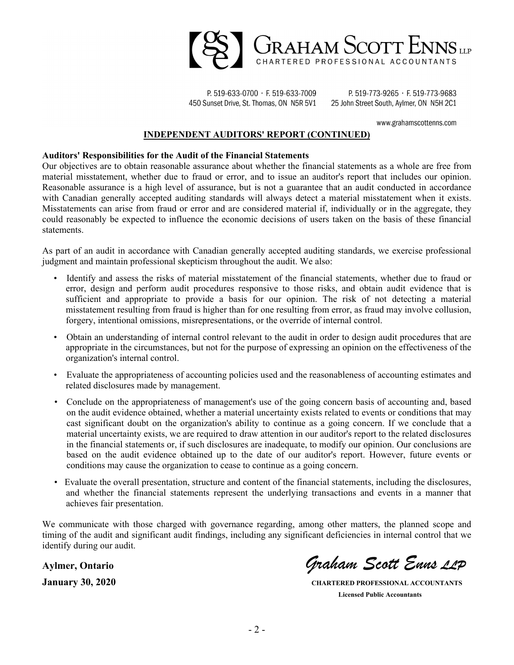

P. 519-633-0700 F. 519-633-7009 450 Sunset Drive, St. Thomas, ON N5R 5V1

P. 519-773-9265 · F. 519-773-9683 25 John Street South, Aylmer, ON N5H 2C1

www.grahamscottenns.com

#### **INDEPENDENT AUDITORS' REPORT (CONTINUED)**

#### **Auditors' Responsibilities for the Audit of the Financial Statements**

Our objectives are to obtain reasonable assurance about whether the financial statements as a whole are free from material misstatement, whether due to fraud or error, and to issue an auditor's report that includes our opinion. Reasonable assurance is a high level of assurance, but is not a guarantee that an audit conducted in accordance with Canadian generally accepted auditing standards will always detect a material misstatement when it exists. Misstatements can arise from fraud or error and are considered material if, individually or in the aggregate, they could reasonably be expected to influence the economic decisions of users taken on the basis of these financial statements.

As part of an audit in accordance with Canadian generally accepted auditing standards, we exercise professional judgment and maintain professional skepticism throughout the audit. We also:

- Identify and assess the risks of material misstatement of the financial statements, whether due to fraud or error, design and perform audit procedures responsive to those risks, and obtain audit evidence that is sufficient and appropriate to provide a basis for our opinion. The risk of not detecting a material misstatement resulting from fraud is higher than for one resulting from error, as fraud may involve collusion, forgery, intentional omissions, misrepresentations, or the override of internal control.
- Obtain an understanding of internal control relevant to the audit in order to design audit procedures that are appropriate in the circumstances, but not for the purpose of expressing an opinion on the effectiveness of the organization's internal control.
- Evaluate the appropriateness of accounting policies used and the reasonableness of accounting estimates and related disclosures made by management.
- Conclude on the appropriateness of management's use of the going concern basis of accounting and, based on the audit evidence obtained, whether a material uncertainty exists related to events or conditions that may cast significant doubt on the organization's ability to continue as a going concern. If we conclude that a material uncertainty exists, we are required to draw attention in our auditor's report to the related disclosures in the financial statements or, if such disclosures are inadequate, to modify our opinion. Our conclusions are based on the audit evidence obtained up to the date of our auditor's report. However, future events or conditions may cause the organization to cease to continue as a going concern.
- Evaluate the overall presentation, structure and content of the financial statements, including the disclosures, and whether the financial statements represent the underlying transactions and events in a manner that achieves fair presentation.

We communicate with those charged with governance regarding, among other matters, the planned scope and timing of the audit and significant audit findings, including any significant deficiencies in internal control that we identify during our audit.

**Aylmer, Ontario** *Graham Scott Enns LLP*

**January 30, 2020 CHARTERED PROFESSIONAL ACCOUNTANTS Licensed Public Accountants**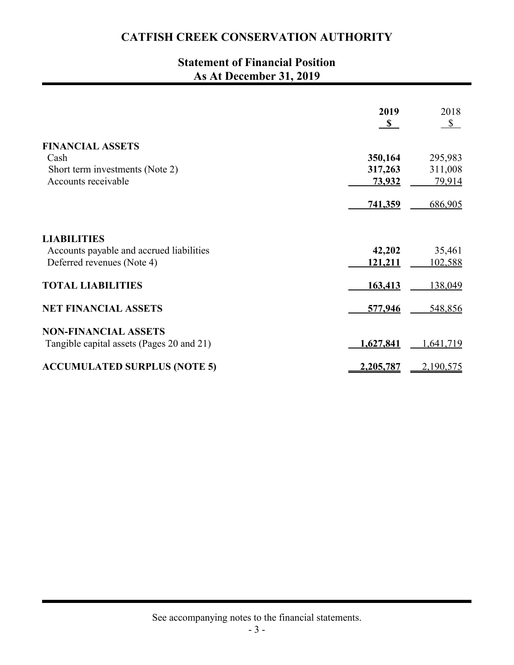# **Statement of Financial Position As At December 31, 2019**

|                                                                                              | 2019<br>$\mathbf{s}$         | 2018<br>$\mathcal{S}$        |
|----------------------------------------------------------------------------------------------|------------------------------|------------------------------|
| <b>FINANCIAL ASSETS</b><br>Cash<br>Short term investments (Note 2)<br>Accounts receivable    | 350,164<br>317,263<br>73,932 | 295,983<br>311,008<br>79,914 |
|                                                                                              | 741,359                      | 686,905                      |
| <b>LIABILITIES</b><br>Accounts payable and accrued liabilities<br>Deferred revenues (Note 4) | 42,202<br>121,211            | 35,461<br>102,588            |
| <b>TOTAL LIABILITIES</b>                                                                     | 163,413                      | 138,049                      |
| <b>NET FINANCIAL ASSETS</b>                                                                  | 577,946                      | 548,856                      |
| <b>NON-FINANCIAL ASSETS</b><br>Tangible capital assets (Pages 20 and 21)                     | 1,627,841                    | 1,641,719                    |
| <b>ACCUMULATED SURPLUS (NOTE 5)</b>                                                          | 2,205,787                    | 2,190,575                    |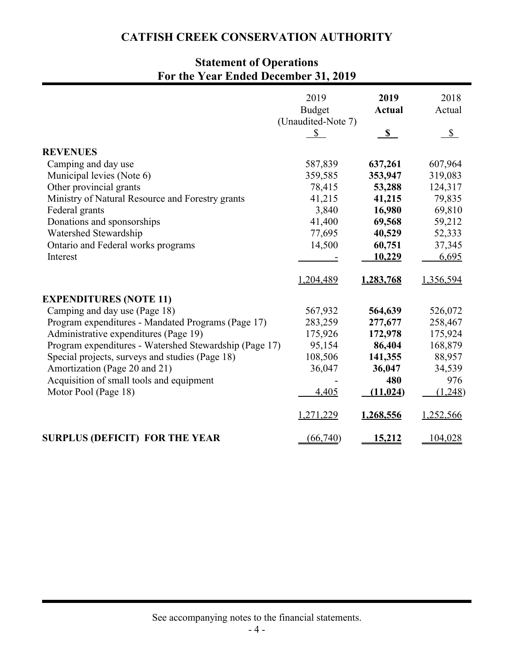# **Statement of Operations For the Year Ended December 31, 2019**

|                                                        | 2019<br><b>Budget</b> | 2019<br><b>Actual</b> | 2018<br>Actual |
|--------------------------------------------------------|-----------------------|-----------------------|----------------|
|                                                        | (Unaudited-Note 7)    |                       |                |
|                                                        | \$                    | S                     | $\mathcal{S}$  |
| <b>REVENUES</b>                                        |                       |                       |                |
| Camping and day use                                    | 587,839               | 637,261               | 607,964        |
| Municipal levies (Note 6)                              | 359,585               | 353,947               | 319,083        |
| Other provincial grants                                | 78,415                | 53,288                | 124,317        |
| Ministry of Natural Resource and Forestry grants       | 41,215                | 41,215                | 79,835         |
| Federal grants                                         | 3,840                 | 16,980                | 69,810         |
| Donations and sponsorships                             | 41,400                | 69,568                | 59,212         |
| Watershed Stewardship                                  | 77,695                | 40,529                | 52,333         |
| Ontario and Federal works programs                     | 14,500                | 60,751                | 37,345         |
| Interest                                               |                       | 10,229                | 6,695          |
|                                                        | 1,204,489             | 1,283,768             | 1,356,594      |
| <b>EXPENDITURES (NOTE 11)</b>                          |                       |                       |                |
| Camping and day use (Page 18)                          | 567,932               | 564,639               | 526,072        |
| Program expenditures - Mandated Programs (Page 17)     | 283,259               | 277,677               | 258,467        |
| Administrative expenditures (Page 19)                  | 175,926               | 172,978               | 175,924        |
| Program expenditures - Watershed Stewardship (Page 17) | 95,154                | 86,404                | 168,879        |
| Special projects, surveys and studies (Page 18)        | 108,506               | 141,355               | 88,957         |
| Amortization (Page 20 and 21)                          | 36,047                | 36,047                | 34,539         |
| Acquisition of small tools and equipment               |                       | 480                   | 976            |
| Motor Pool (Page 18)                                   | 4,405                 | (11, 024)             | (1,248)        |
|                                                        | 1,271,229             | 1,268,556             | 1,252,566      |
| <b>SURPLUS (DEFICIT) FOR THE YEAR</b>                  | (66,740)              | <u>15,212</u>         | <u>104,028</u> |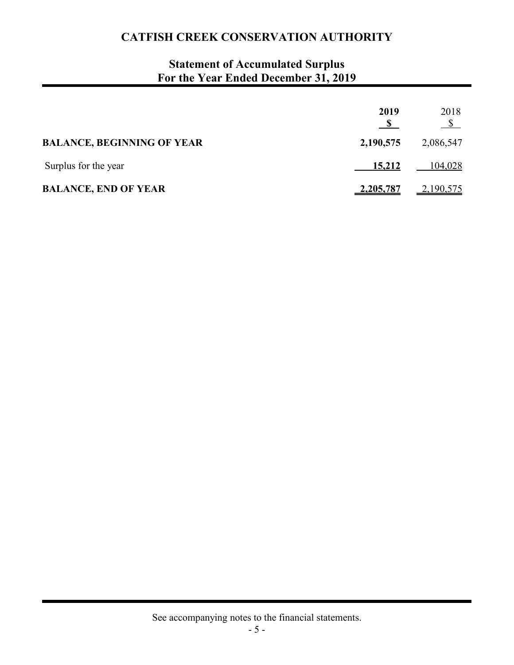# **Statement of Accumulated Surplus For the Year Ended December 31, 2019**

|                                   | 2019             | 2018<br>S        |
|-----------------------------------|------------------|------------------|
| <b>BALANCE, BEGINNING OF YEAR</b> | 2,190,575        | 2,086,547        |
| Surplus for the year              | 15,212           | 104,028          |
| <b>BALANCE, END OF YEAR</b>       | <u>2,205,787</u> | <u>2,190,575</u> |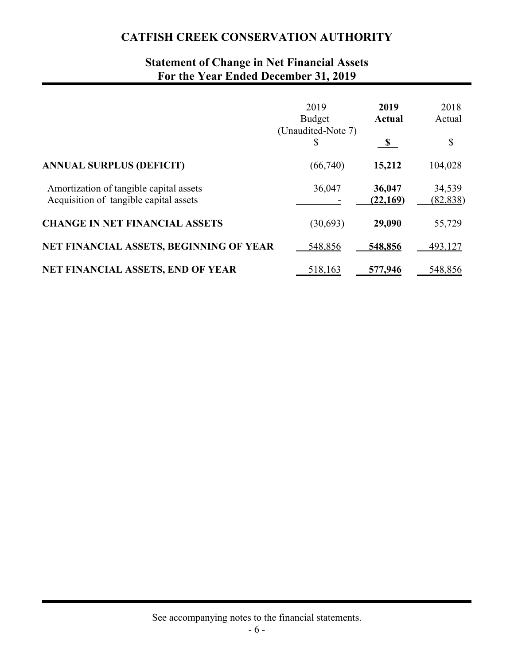# **Statement of Change in Net Financial Assets For the Year Ended December 31, 2019**

|                                                                                   | 2019<br><b>Budget</b><br>(Unaudited-Note 7) | 2019<br><b>Actual</b><br>S | 2018<br>Actual<br>S |
|-----------------------------------------------------------------------------------|---------------------------------------------|----------------------------|---------------------|
| <b>ANNUAL SURPLUS (DEFICIT)</b>                                                   | (66,740)                                    | 15,212                     | 104,028             |
| Amortization of tangible capital assets<br>Acquisition of tangible capital assets | 36,047                                      | 36,047<br>(22,169)         | 34,539<br>(82, 838) |
| <b>CHANGE IN NET FINANCIAL ASSETS</b>                                             | (30, 693)                                   | 29,090                     | 55,729              |
| NET FINANCIAL ASSETS, BEGINNING OF YEAR                                           | 548,856                                     | 548,856                    | 493,127             |
| <b>NET FINANCIAL ASSETS, END OF YEAR</b>                                          | 518,163                                     | 577,946                    | 548,856             |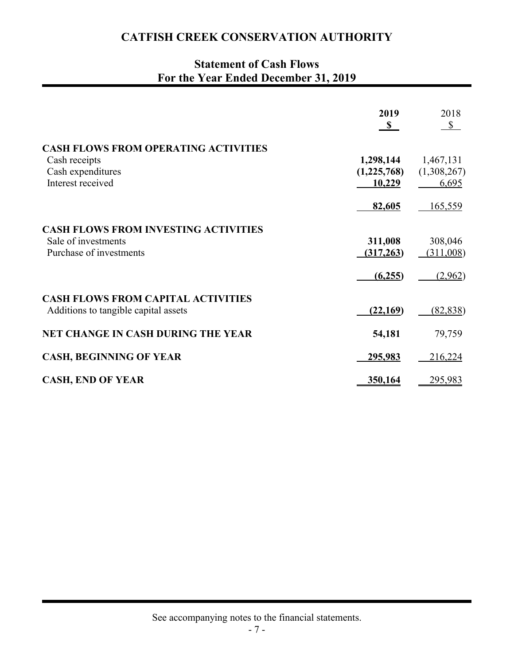## **Statement of Cash Flows For the Year Ended December 31, 2019**

|                                             | 2019<br>$\mathbb{S}$ | 2018<br>$\mathbb{S}$ |
|---------------------------------------------|----------------------|----------------------|
| <b>CASH FLOWS FROM OPERATING ACTIVITIES</b> |                      |                      |
| Cash receipts                               | 1,298,144            | 1,467,131            |
| Cash expenditures                           | (1,225,768)          | (1,308,267)          |
| Interest received                           | 10,229               | 6,695                |
|                                             | 82,605               | 165,559              |
| <b>CASH FLOWS FROM INVESTING ACTIVITIES</b> |                      |                      |
| Sale of investments                         | 311,008              | 308,046              |
| Purchase of investments                     | (317, 263)           | (311,008)            |
|                                             | (6,255)              | (2,962)              |
| <b>CASH FLOWS FROM CAPITAL ACTIVITIES</b>   |                      |                      |
| Additions to tangible capital assets        | (22,169)             | (82, 838)            |
| <b>NET CHANGE IN CASH DURING THE YEAR</b>   | 54,181               | 79,759               |
| <b>CASH, BEGINNING OF YEAR</b>              | 295,983              | 216,224              |
| <b>CASH, END OF YEAR</b>                    | 350,164              | 295,983              |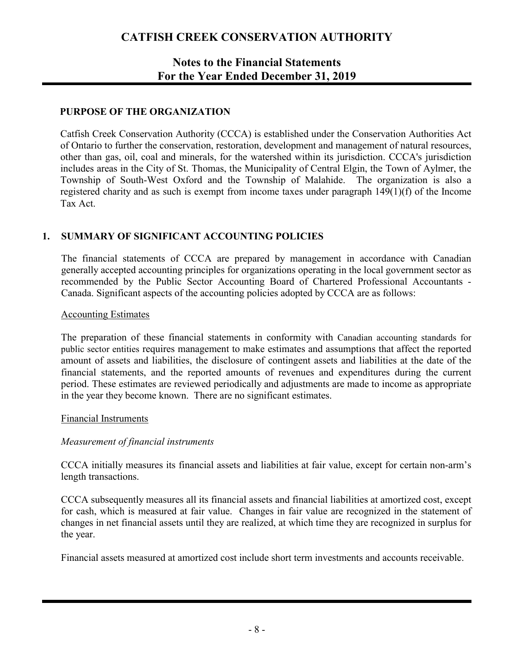## **Notes to the Financial Statements For the Year Ended December 31, 2019**

### **PURPOSE OF THE ORGANIZATION**

Catfish Creek Conservation Authority (CCCA) is established under the Conservation Authorities Act of Ontario to further the conservation, restoration, development and management of natural resources, other than gas, oil, coal and minerals, for the watershed within its jurisdiction. CCCA's jurisdiction includes areas in the City of St. Thomas, the Municipality of Central Elgin, the Town of Aylmer, the Township of South-West Oxford and the Township of Malahide. The organization is also a registered charity and as such is exempt from income taxes under paragraph 149(1)(f) of the Income Tax Act.

### **1. SUMMARY OF SIGNIFICANT ACCOUNTING POLICIES**

The financial statements of CCCA are prepared by management in accordance with Canadian generally accepted accounting principles for organizations operating in the local government sector as recommended by the Public Sector Accounting Board of Chartered Professional Accountants - Canada. Significant aspects of the accounting policies adopted by CCCA are as follows:

#### Accounting Estimates

The preparation of these financial statements in conformity with Canadian accounting standards for public sector entities requires management to make estimates and assumptions that affect the reported amount of assets and liabilities, the disclosure of contingent assets and liabilities at the date of the financial statements, and the reported amounts of revenues and expenditures during the current period. These estimates are reviewed periodically and adjustments are made to income as appropriate in the year they become known. There are no significant estimates.

#### Financial Instruments

#### *Measurement of financial instruments*

CCCA initially measures its financial assets and liabilities at fair value, except for certain non-arm's length transactions.

CCCA subsequently measures all its financial assets and financial liabilities at amortized cost, except for cash, which is measured at fair value. Changes in fair value are recognized in the statement of changes in net financial assets until they are realized, at which time they are recognized in surplus for the year.

Financial assets measured at amortized cost include short term investments and accounts receivable.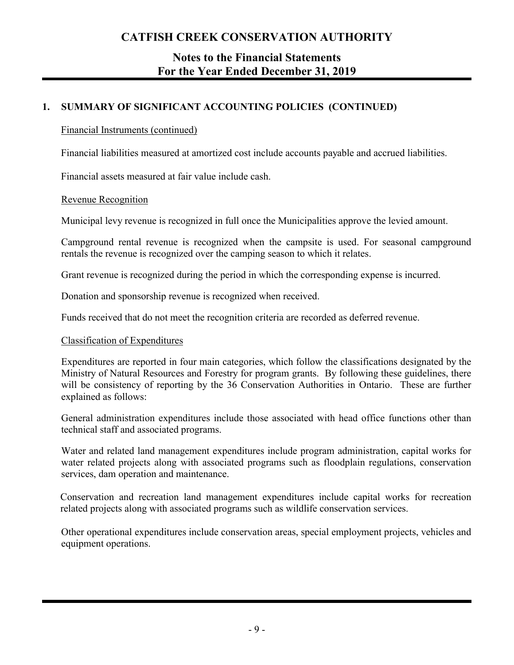## **Notes to the Financial Statements For the Year Ended December 31, 2019**

### **1. SUMMARY OF SIGNIFICANT ACCOUNTING POLICIES (CONTINUED)**

#### Financial Instruments (continued)

Financial liabilities measured at amortized cost include accounts payable and accrued liabilities.

Financial assets measured at fair value include cash.

#### Revenue Recognition

Municipal levy revenue is recognized in full once the Municipalities approve the levied amount.

Campground rental revenue is recognized when the campsite is used. For seasonal campground rentals the revenue is recognized over the camping season to which it relates.

Grant revenue is recognized during the period in which the corresponding expense is incurred.

Donation and sponsorship revenue is recognized when received.

Funds received that do not meet the recognition criteria are recorded as deferred revenue.

#### Classification of Expenditures

Expenditures are reported in four main categories, which follow the classifications designated by the Ministry of Natural Resources and Forestry for program grants. By following these guidelines, there will be consistency of reporting by the 36 Conservation Authorities in Ontario. These are further explained as follows:

General administration expenditures include those associated with head office functions other than technical staff and associated programs.

Water and related land management expenditures include program administration, capital works for water related projects along with associated programs such as floodplain regulations, conservation services, dam operation and maintenance.

Conservation and recreation land management expenditures include capital works for recreation related projects along with associated programs such as wildlife conservation services.

Other operational expenditures include conservation areas, special employment projects, vehicles and equipment operations.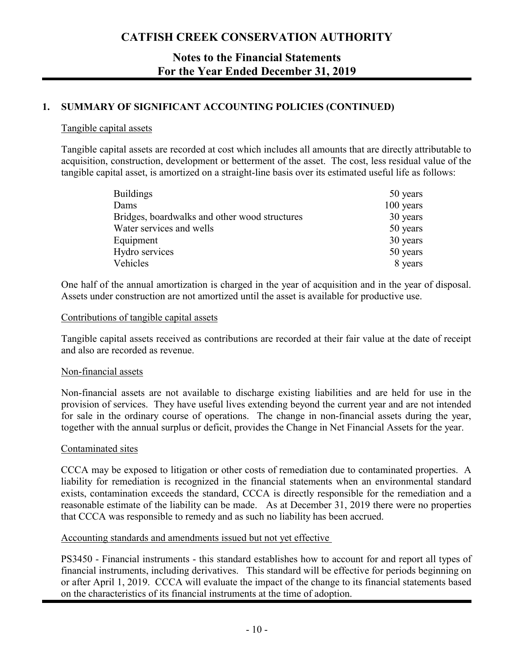## **Notes to the Financial Statements For the Year Ended December 31, 2019**

### **1. SUMMARY OF SIGNIFICANT ACCOUNTING POLICIES (CONTINUED)**

#### Tangible capital assets

Tangible capital assets are recorded at cost which includes all amounts that are directly attributable to acquisition, construction, development or betterment of the asset. The cost, less residual value of the tangible capital asset, is amortized on a straight-line basis over its estimated useful life as follows:

| <b>Buildings</b>                              | 50 years  |
|-----------------------------------------------|-----------|
| Dams                                          | 100 years |
| Bridges, boardwalks and other wood structures | 30 years  |
| Water services and wells                      | 50 years  |
| Equipment                                     | 30 years  |
| Hydro services                                | 50 years  |
| Vehicles                                      | 8 years   |

One half of the annual amortization is charged in the year of acquisition and in the year of disposal. Assets under construction are not amortized until the asset is available for productive use.

#### Contributions of tangible capital assets

Tangible capital assets received as contributions are recorded at their fair value at the date of receipt and also are recorded as revenue.

#### Non-financial assets

Non-financial assets are not available to discharge existing liabilities and are held for use in the provision of services. They have useful lives extending beyond the current year and are not intended for sale in the ordinary course of operations. The change in non-financial assets during the year, together with the annual surplus or deficit, provides the Change in Net Financial Assets for the year.

#### Contaminated sites

CCCA may be exposed to litigation or other costs of remediation due to contaminated properties. A liability for remediation is recognized in the financial statements when an environmental standard exists, contamination exceeds the standard, CCCA is directly responsible for the remediation and a reasonable estimate of the liability can be made. As at December 31, 2019 there were no properties that CCCA was responsible to remedy and as such no liability has been accrued.

#### Accounting standards and amendments issued but not yet effective

PS3450 - Financial instruments - this standard establishes how to account for and report all types of financial instruments, including derivatives. This standard will be effective for periods beginning on or after April 1, 2019. CCCA will evaluate the impact of the change to its financial statements based on the characteristics of its financial instruments at the time of adoption.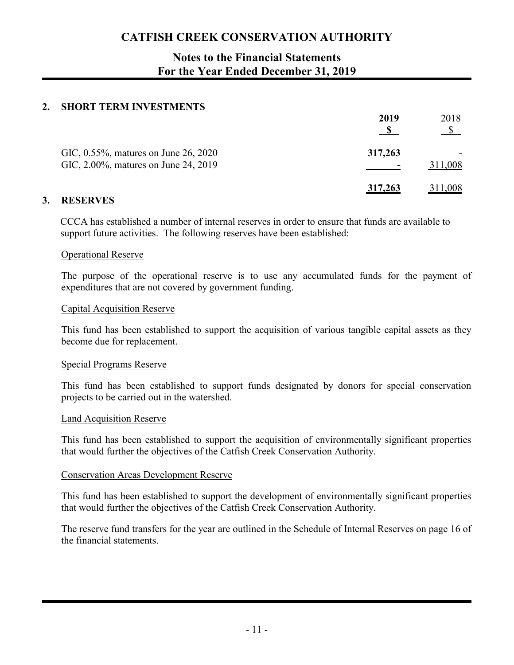## **Notes to the Financial Statements For the Year Ended December 31, 2019**

### **2. SHORT TERM INVESTMENTS**

|                                                                              | 2019    | 2018    |
|------------------------------------------------------------------------------|---------|---------|
| GIC, 0.55%, matures on June 26, 2020<br>GIC, 2.00%, matures on June 24, 2019 | 317,263 | 311,008 |
|                                                                              | 317,263 | 311,008 |

### **3. RESERVES**

CCCA has established a number of internal reserves in order to ensure that funds are available to support future activities. The following reserves have been established:

#### Operational Reserve

The purpose of the operational reserve is to use any accumulated funds for the payment of expenditures that are not covered by government funding.

#### Capital Acquisition Reserve

This fund has been established to support the acquisition of various tangible capital assets as they become due for replacement.

#### Special Programs Reserve

This fund has been established to support funds designated by donors for special conservation projects to be carried out in the watershed.

#### Land Acquisition Reserve

This fund has been established to support the acquisition of environmentally significant properties that would further the objectives of the Catfish Creek Conservation Authority.

#### Conservation Areas Development Reserve

This fund has been established to support the development of environmentally significant properties that would further the objectives of the Catfish Creek Conservation Authority.

The reserve fund transfers for the year are outlined in the Schedule of Internal Reserves on page 16 of the financial statements.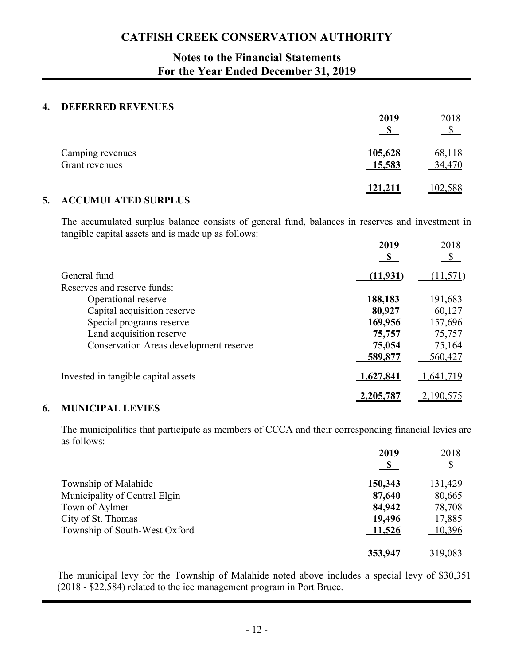## **Notes to the Financial Statements For the Year Ended December 31, 2019**

### **4. DEFERRED REVENUES**

|                                    | 2019              | 2018<br>S        |
|------------------------------------|-------------------|------------------|
| Camping revenues<br>Grant revenues | 105,628<br>15,583 | 68,118<br>34,470 |
|                                    | <u>121,211</u>    | 102,588          |

### **5. ACCUMULATED SURPLUS**

The accumulated surplus balance consists of general fund, balances in reserves and investment in tangible capital assets and is made up as follows:

|                                               | 2019<br>$\mathbf{s}$ | 2018<br>\$ |
|-----------------------------------------------|----------------------|------------|
| General fund                                  | (11, 931)            | (11,571)   |
| Reserves and reserve funds:                   |                      |            |
| Operational reserve                           | 188,183              | 191,683    |
| Capital acquisition reserve                   | 80,927               | 60,127     |
| Special programs reserve                      | 169,956              | 157,696    |
| Land acquisition reserve                      | 75,757               | 75,757     |
| <b>Conservation Areas development reserve</b> | 75,054               | 75,164     |
|                                               | 589,877              | 560,427    |
| Invested in tangible capital assets           | 1,627,841            | 1,641,719  |
|                                               | 2,205,787            | 2,190,575  |

### **6. MUNICIPAL LEVIES**

The municipalities that participate as members of CCCA and their corresponding financial levies are as follows:

|                               | 2019         | 2018          |
|-------------------------------|--------------|---------------|
|                               | $\mathbf{s}$ | $\mathcal{S}$ |
| Township of Malahide          | 150,343      | 131,429       |
| Municipality of Central Elgin | 87,640       | 80,665        |
| Town of Aylmer                | 84,942       | 78,708        |
| City of St. Thomas            | 19,496       | 17,885        |
| Township of South-West Oxford | 11,526       | 10,396        |
|                               | 353,947      | 319,083       |

The municipal levy for the Township of Malahide noted above includes a special levy of \$30,351 (2018 - \$22,584) related to the ice management program in Port Bruce.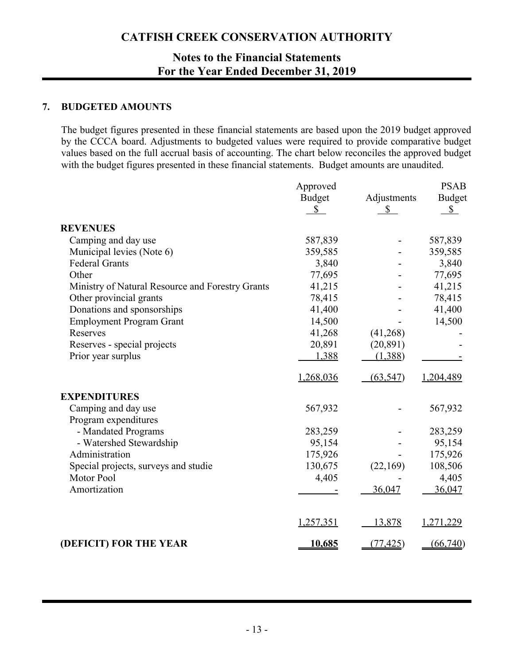## **Notes to the Financial Statements For the Year Ended December 31, 2019**

#### **7. BUDGETED AMOUNTS**

The budget figures presented in these financial statements are based upon the 2019 budget approved by the CCCA board. Adjustments to budgeted values were required to provide comparative budget values based on the full accrual basis of accounting. The chart below reconciles the approved budget with the budget figures presented in these financial statements. Budget amounts are unaudited.

| Approved      |              | <b>PSAB</b>   |
|---------------|--------------|---------------|
| <b>Budget</b> | Adjustments  | <b>Budget</b> |
| $\mathbb{S}$  | $\mathbb{S}$ | $\mathbb{S}$  |
|               |              |               |
| 587,839       |              | 587,839       |
| 359,585       |              | 359,585       |
| 3,840         |              | 3,840         |
| 77,695        |              | 77,695        |
| 41,215        |              | 41,215        |
| 78,415        |              | 78,415        |
| 41,400        |              | 41,400        |
| 14,500        |              | 14,500        |
| 41,268        | (41,268)     |               |
| 20,891        | (20, 891)    |               |
| 1,388         | (1,388)      |               |
| 1,268,036     | (63, 547)    | 1,204,489     |
|               |              |               |
| 567,932       |              | 567,932       |
|               |              |               |
| 283,259       |              | 283,259       |
| 95,154        |              | 95,154        |
| 175,926       |              | 175,926       |
| 130,675       | (22,169)     | 108,506       |
| 4,405         |              | 4,405         |
|               | 36,047       | 36,047        |
| 1,257,351     | 13,878       | 1,271,229     |
| 10,685        | (77, 425)    | (66,740)      |
|               |              |               |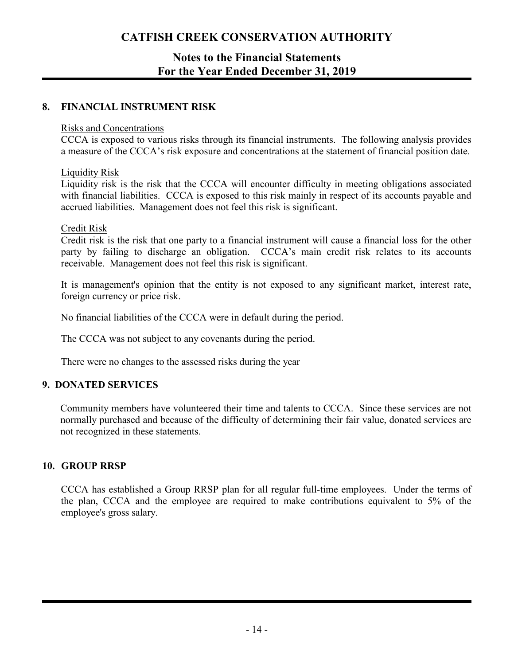## **Notes to the Financial Statements For the Year Ended December 31, 2019**

### **8. FINANCIAL INSTRUMENT RISK**

#### Risks and Concentrations

CCCA is exposed to various risks through its financial instruments. The following analysis provides a measure of the CCCA's risk exposure and concentrations at the statement of financial position date.

#### Liquidity Risk

Liquidity risk is the risk that the CCCA will encounter difficulty in meeting obligations associated with financial liabilities. CCCA is exposed to this risk mainly in respect of its accounts payable and accrued liabilities. Management does not feel this risk is significant.

### Credit Risk

Credit risk is the risk that one party to a financial instrument will cause a financial loss for the other party by failing to discharge an obligation. CCCA's main credit risk relates to its accounts receivable. Management does not feel this risk is significant.

It is management's opinion that the entity is not exposed to any significant market, interest rate, foreign currency or price risk.

No financial liabilities of the CCCA were in default during the period.

The CCCA was not subject to any covenants during the period.

There were no changes to the assessed risks during the year

### **9. DONATED SERVICES**

Community members have volunteered their time and talents to CCCA. Since these services are not normally purchased and because of the difficulty of determining their fair value, donated services are not recognized in these statements.

### **10. GROUP RRSP**

CCCA has established a Group RRSP plan for all regular full-time employees. Under the terms of the plan, CCCA and the employee are required to make contributions equivalent to 5% of the employee's gross salary.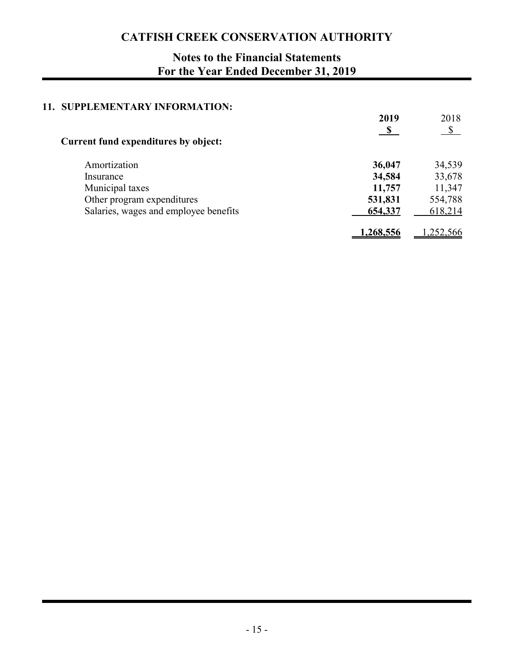## **Notes to the Financial Statements For the Year Ended December 31, 2019**

### **11. SUPPLEMENTARY INFORMATION:**

|                                       | 2019      | 2018                              |
|---------------------------------------|-----------|-----------------------------------|
|                                       |           | $\frac{\mathcal{S}}{\mathcal{S}}$ |
| Current fund expenditures by object:  |           |                                   |
| Amortization                          | 36,047    | 34,539                            |
| Insurance                             | 34,584    | 33,678                            |
| Municipal taxes                       | 11,757    | 11,347                            |
| Other program expenditures            | 531,831   | 554,788                           |
| Salaries, wages and employee benefits | 654,337   | 618,214                           |
|                                       | 1,268,556 | ,252,566                          |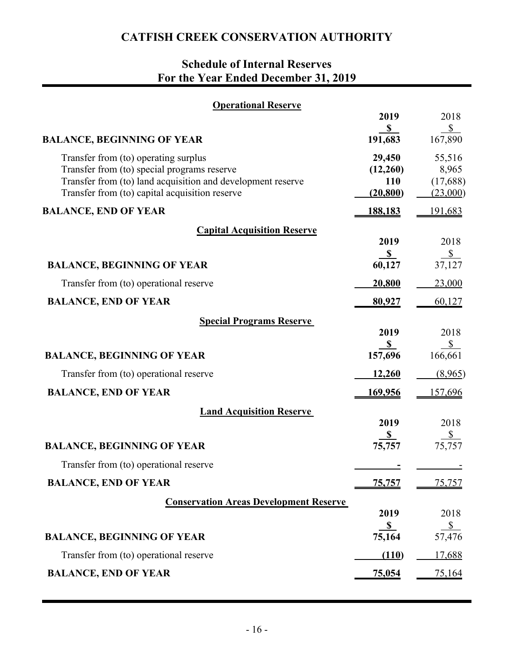# **Schedule of Internal Reserves For the Year Ended December 31, 2019**

| <b>Operational Reserve</b>                                                                                                                                                                                                                | 2019                                                     | 2018                                               |
|-------------------------------------------------------------------------------------------------------------------------------------------------------------------------------------------------------------------------------------------|----------------------------------------------------------|----------------------------------------------------|
|                                                                                                                                                                                                                                           | $\mathbf{s}$                                             | $\sqrt{\frac{S}{\sqrt{S}}}$                        |
| <b>BALANCE, BEGINNING OF YEAR</b><br>Transfer from (to) operating surplus<br>Transfer from (to) special programs reserve<br>Transfer from (to) land acquisition and development reserve<br>Transfer from (to) capital acquisition reserve | 191,683<br>29,450<br>(12,260)<br><b>110</b><br>(20, 800) | 167,890<br>55,516<br>8,965<br>(17,688)<br>(23,000) |
| <b>BALANCE, END OF YEAR</b>                                                                                                                                                                                                               | <u>188,183</u>                                           | <u>191,683</u>                                     |
| <b>Capital Acquisition Reserve</b>                                                                                                                                                                                                        |                                                          |                                                    |
| <b>BALANCE, BEGINNING OF YEAR</b>                                                                                                                                                                                                         | 2019<br>S<br>60,127                                      | 2018<br>$rac{$ }{37,127}$                          |
| Transfer from (to) operational reserve                                                                                                                                                                                                    | 20,800                                                   | 23,000                                             |
| <b>BALANCE, END OF YEAR</b>                                                                                                                                                                                                               | 80,927                                                   | <u>60,127</u>                                      |
| <b>Special Programs Reserve</b><br><b>BALANCE, BEGINNING OF YEAR</b>                                                                                                                                                                      | 2019<br>$\mathbf{s}$<br>157,696                          | 2018<br>$\frac{$}{166,661}$                        |
|                                                                                                                                                                                                                                           | <u>12,260</u>                                            |                                                    |
| Transfer from (to) operational reserve<br><b>BALANCE, END OF YEAR</b>                                                                                                                                                                     | <u>169,956</u>                                           | (8,965)<br>157,696                                 |
| <b>Land Acquisition Reserve</b>                                                                                                                                                                                                           |                                                          |                                                    |
|                                                                                                                                                                                                                                           | 2019                                                     | 2018                                               |
| <b>BALANCE, BEGINNING OF YEAR</b>                                                                                                                                                                                                         | S<br>75,757                                              | $\frac{\$}{75,757}$                                |
| Transfer from (to) operational reserve                                                                                                                                                                                                    |                                                          |                                                    |
| <b>BALANCE, END OF YEAR</b>                                                                                                                                                                                                               | <u>75,757</u>                                            | <u>75,757</u>                                      |
| <b>Conservation Areas Development Reserve</b>                                                                                                                                                                                             |                                                          |                                                    |
|                                                                                                                                                                                                                                           | 2019<br>$\mathbf{s}$                                     | 2018                                               |
| <b>BALANCE, BEGINNING OF YEAR</b>                                                                                                                                                                                                         | 75,164                                                   | $rac{\$}{57,476}$                                  |
| Transfer from (to) operational reserve                                                                                                                                                                                                    | (110)                                                    | 17,688                                             |
| <b>BALANCE, END OF YEAR</b>                                                                                                                                                                                                               | <u>75,054</u>                                            | 75,164                                             |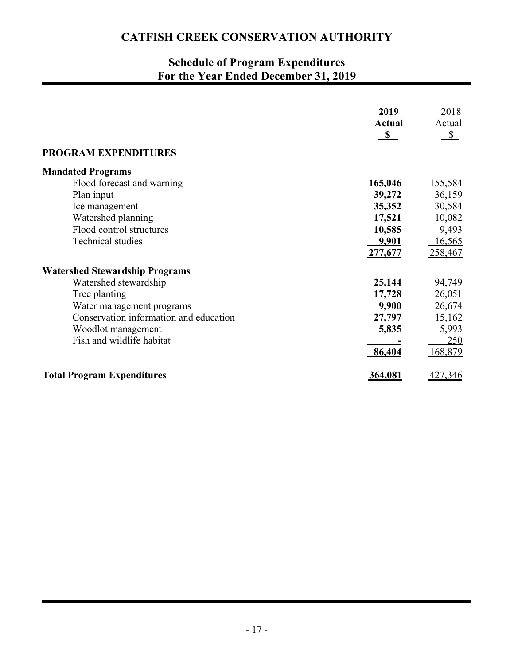# **Schedule of Program Expenditures For the Year Ended December 31, 2019**

|                                        | 2019<br><b>Actual</b><br>$\sqrt{s}$ | 2018<br>Actual<br>$\frac{\mathcal{S}}{\mathcal{S}}$ |
|----------------------------------------|-------------------------------------|-----------------------------------------------------|
| <b>PROGRAM EXPENDITURES</b>            |                                     |                                                     |
| <b>Mandated Programs</b>               |                                     |                                                     |
| Flood forecast and warning             | 165,046                             | 155,584                                             |
| Plan input                             | 39,272                              | 36,159                                              |
| Ice management                         | 35,352                              | 30,584                                              |
| Watershed planning                     | 17,521                              | 10,082                                              |
| Flood control structures               | 10,585                              | 9,493                                               |
| <b>Technical</b> studies               | 9,901                               | 16,565                                              |
|                                        | 277,677                             | 258,467                                             |
| <b>Watershed Stewardship Programs</b>  |                                     |                                                     |
| Watershed stewardship                  | 25,144                              | 94,749                                              |
| Tree planting                          | 17,728                              | 26,051                                              |
| Water management programs              | 9,900                               | 26,674                                              |
| Conservation information and education | 27,797                              | 15,162                                              |
| Woodlot management                     | 5,835                               | 5,993                                               |
| Fish and wildlife habitat              |                                     | 250                                                 |
|                                        | 86,404                              | 168,879                                             |
| <b>Total Program Expenditures</b>      | 364,081                             | 427,346                                             |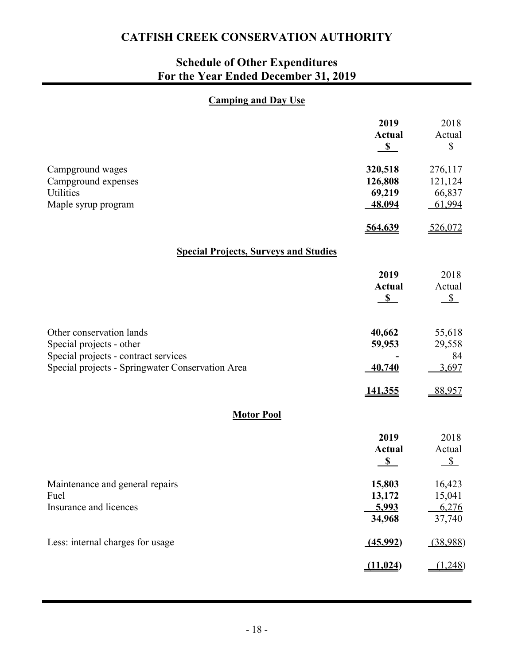# **Schedule of Other Expenditures For the Year Ended December 31, 2019**

### **Camping and Day Use**

|                                                                                                                                                  | 2019<br><b>Actual</b><br>$\mathbf{s}$  | 2018<br>Actual<br>$\frac{\S}{}$        |
|--------------------------------------------------------------------------------------------------------------------------------------------------|----------------------------------------|----------------------------------------|
| Campground wages<br>Campground expenses<br><b>Utilities</b><br>Maple syrup program                                                               | 320,518<br>126,808<br>69,219<br>48,094 | 276,117<br>121,124<br>66,837<br>61,994 |
|                                                                                                                                                  | 564,639                                | 526,072                                |
| <b>Special Projects, Surveys and Studies</b>                                                                                                     |                                        |                                        |
|                                                                                                                                                  | 2019<br><b>Actual</b><br>$\sqrt{s}$    | 2018<br>Actual<br>S                    |
| Other conservation lands<br>Special projects - other<br>Special projects - contract services<br>Special projects - Springwater Conservation Area | 40,662<br>59,953<br>40,740             | 55,618<br>29,558<br>84<br>3,697        |
|                                                                                                                                                  | <u>141,355</u>                         | 88,957                                 |
| <b>Motor Pool</b>                                                                                                                                |                                        |                                        |
|                                                                                                                                                  | 2019<br><b>Actual</b><br>S             | 2018<br>Actual<br>$S_{-}$              |
| Maintenance and general repairs<br>Fuel<br>Insurance and licences                                                                                | 15,803<br>13,172<br>5,993<br>34,968    | 16,423<br>15,041<br>6,276<br>37,740    |
| Less: internal charges for usage                                                                                                                 | (45,992)                               | (38,988)                               |
|                                                                                                                                                  | (11, 024)                              | (1,248)                                |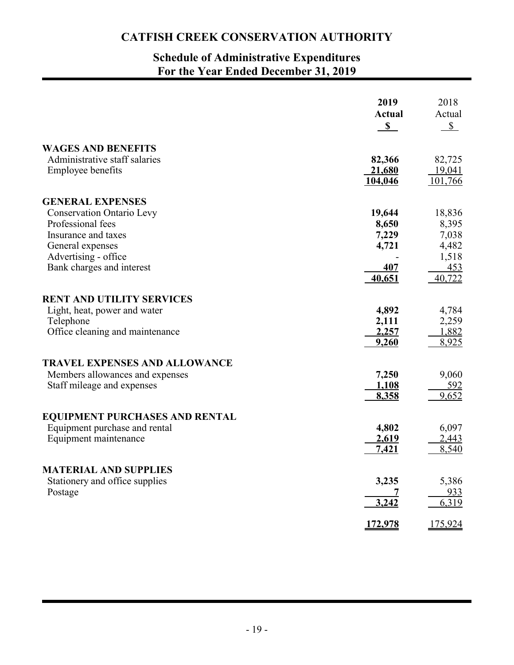## **Schedule of Administrative Expenditures For the Year Ended December 31, 2019**

|                                      | 2019<br><b>Actual</b><br>S | 2018<br>Actual<br>$S_{-}$ |
|--------------------------------------|----------------------------|---------------------------|
| <b>WAGES AND BENEFITS</b>            |                            |                           |
| Administrative staff salaries        | 82,366                     | 82,725                    |
| <b>Employee benefits</b>             | 21,680<br>104,046          | 19,041<br>101,766         |
| <b>GENERAL EXPENSES</b>              |                            |                           |
| <b>Conservation Ontario Levy</b>     | 19,644                     | 18,836                    |
| Professional fees                    | 8,650                      | 8,395                     |
| Insurance and taxes                  | 7,229                      | 7,038                     |
| General expenses                     | 4,721                      | 4,482                     |
| Advertising - office                 |                            | 1,518                     |
| Bank charges and interest            | 407                        | 453                       |
|                                      | 40,651                     | 40,722                    |
| <b>RENT AND UTILITY SERVICES</b>     |                            |                           |
| Light, heat, power and water         | 4,892                      | 4,784                     |
| Telephone                            | 2,111                      | 2,259                     |
| Office cleaning and maintenance      | 2,257                      | 1,882                     |
|                                      | 9,260                      | 8,925                     |
| <b>TRAVEL EXPENSES AND ALLOWANCE</b> |                            |                           |
| Members allowances and expenses      | 7,250                      | 9,060                     |
| Staff mileage and expenses           | 1,108                      | 592                       |
|                                      | 8,358                      | 9,652                     |
| EQUIPMENT PURCHASES AND RENTAL       |                            |                           |
| Equipment purchase and rental        | 4,802                      | 6,097                     |
| Equipment maintenance                | <u>2,619</u>               | 2,443                     |
|                                      | 7,421                      | 8,540                     |
| <b>MATERIAL AND SUPPLIES</b>         |                            |                           |
| Stationery and office supplies       | 3,235                      | 5,386                     |
| Postage                              |                            | 933                       |
|                                      | 3,242                      | 6,319                     |
|                                      | 172,978                    | 175,924                   |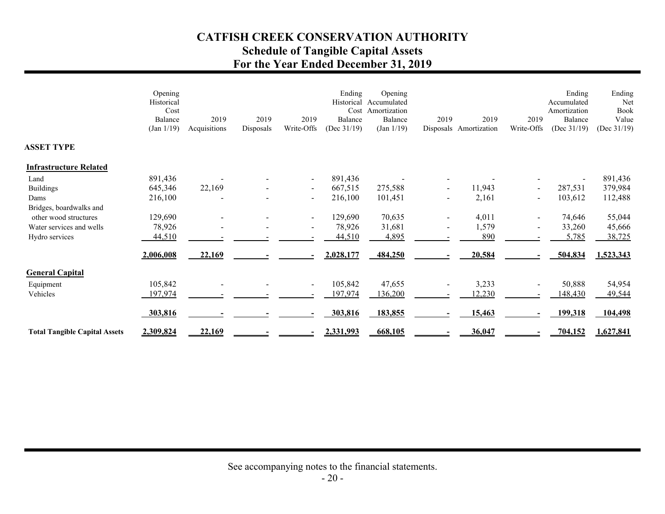# **CATFISH CREEK CONSERVATION AUTHORITY Schedule of Tangible Capital Assets**

# **For the Year Ended December 31, 2019**

|                                      | Opening<br>Historical<br>Cost<br>Balance<br>(Jan 1/19) | 2019<br>Acquisitions | 2019<br>Disposals | 2019<br>Write-Offs       | Ending<br>Balance<br>(Dec $31/19$ ) | Opening<br>Historical Accumulated<br>Cost Amortization<br>Balance<br>(Jan 1/19) | 2019 | 2019<br>Disposals Amortization | 2019<br>Write-Offs | Ending<br>Accumulated<br>Amortization<br>Balance<br>(Dec $31/19$ ) | Ending<br>Net<br>Book<br>Value<br>(Dec $31/19$ ) |
|--------------------------------------|--------------------------------------------------------|----------------------|-------------------|--------------------------|-------------------------------------|---------------------------------------------------------------------------------|------|--------------------------------|--------------------|--------------------------------------------------------------------|--------------------------------------------------|
| <b>ASSET TYPE</b>                    |                                                        |                      |                   |                          |                                     |                                                                                 |      |                                |                    |                                                                    |                                                  |
| <b>Infrastructure Related</b>        |                                                        |                      |                   |                          |                                     |                                                                                 |      |                                |                    |                                                                    |                                                  |
| Land                                 | 891,436                                                |                      |                   | $\sim$                   | 891,436                             |                                                                                 |      |                                |                    |                                                                    | 891,436                                          |
| <b>Buildings</b>                     | 645,346                                                | 22,169               |                   | $\sim$                   | 667,515                             | 275,588                                                                         |      | 11,943                         | $\blacksquare$     | 287,531                                                            | 379,984                                          |
| Dams                                 | 216,100                                                |                      |                   | $\overline{\phantom{a}}$ | 216,100                             | 101,451                                                                         |      | 2,161                          | $\blacksquare$     | 103,612                                                            | 112,488                                          |
| Bridges, boardwalks and              |                                                        |                      |                   |                          |                                     |                                                                                 |      |                                |                    |                                                                    |                                                  |
| other wood structures                | 129,690                                                |                      |                   | $\sim$                   | 129,690                             | 70,635                                                                          |      | 4,011                          | -                  | 74,646                                                             | 55,044                                           |
| Water services and wells             | 78,926                                                 |                      |                   | $\blacksquare$           | 78,926                              | 31,681                                                                          |      | 1,579                          | $\blacksquare$     | 33,260                                                             | 45,666                                           |
| Hydro services                       | 44,510                                                 |                      |                   |                          | 44,510                              | 4,895                                                                           |      | 890                            |                    | 5,785                                                              | 38,725                                           |
|                                      | 2,006,008                                              | 22,169               |                   |                          | 2,028,177                           | 484,250                                                                         |      | 20,584                         |                    | 504,834                                                            | 1,523,343                                        |
| <b>General Capital</b>               |                                                        |                      |                   |                          |                                     |                                                                                 |      |                                |                    |                                                                    |                                                  |
| Equipment                            | 105,842                                                |                      |                   | $\blacksquare$           | 105,842                             | 47,655                                                                          |      | 3,233                          |                    | 50,888                                                             | 54,954                                           |
| Vehicles                             | 197,974                                                |                      |                   |                          | 197,974                             | 136,200                                                                         |      | 12,230                         |                    | 148,430                                                            | 49,544                                           |
|                                      |                                                        |                      |                   |                          |                                     |                                                                                 |      |                                |                    |                                                                    |                                                  |
|                                      | 303,816                                                |                      |                   |                          | 303,816                             | 183,855                                                                         |      | 15,463                         |                    | 199,318                                                            | 104,498                                          |
| <b>Total Tangible Capital Assets</b> | 2,309,824                                              | 22,169               |                   |                          | 2,331,993                           | 668,105                                                                         |      | 36,047                         |                    | 704,152                                                            | 1,627,841                                        |